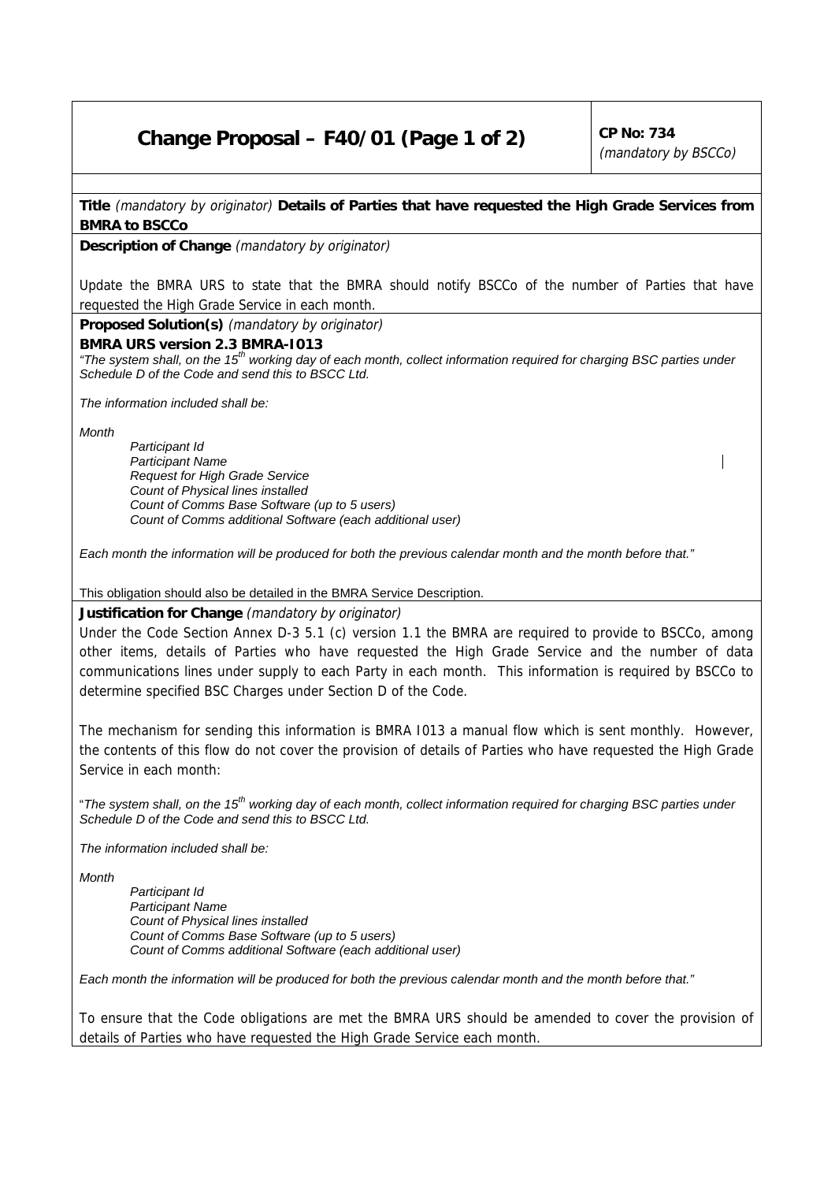## **Change Proposal – F40/01 (Page 1 of 2)**  $\vert$  CP No: 734

(mandatory by BSCCo)

**Title** (mandatory by originator) **Details of Parties that have requested the High Grade Services from BMRA to BSCCo**

**Description of Change** (mandatory by originator)

Update the BMRA URS to state that the BMRA should notify BSCCo of the number of Parties that have requested the High Grade Service in each month.

**Proposed Solution(s)** (mandatory by originator)

**BMRA URS version 2.3 BMRA-I013**

*"The system shall, on the 15th working day of each month, collect information required for charging BSC parties under Schedule D of the Code and send this to BSCC Ltd.*

*The information included shall be:*

*Month*

*Participant Id Participant Name Request for High Grade Service Count of Physical lines installed Count of Comms Base Software (up to 5 users) Count of Comms additional Software (each additional user)*

*Each month the information will be produced for both the previous calendar month and the month before that."*

This obligation should also be detailed in the BMRA Service Description.

**Justification for Change** (mandatory by originator)

Under the Code Section Annex D-3 5.1 (c) version 1.1 the BMRA are required to provide to BSCCo, among other items, details of Parties who have requested the High Grade Service and the number of data communications lines under supply to each Party in each month. This information is required by BSCCo to determine specified BSC Charges under Section D of the Code.

The mechanism for sending this information is BMRA I013 a manual flow which is sent monthly. However, the contents of this flow do not cover the provision of details of Parties who have requested the High Grade Service in each month:

"*The system shall, on the 15th working day of each month, collect information required for charging BSC parties under Schedule D of the Code and send this to BSCC Ltd.*

*The information included shall be:*

*Month*

*Participant Id Participant Name Count of Physical lines installed Count of Comms Base Software (up to 5 users) Count of Comms additional Software (each additional user)*

*Each month the information will be produced for both the previous calendar month and the month before that."*

To ensure that the Code obligations are met the BMRA URS should be amended to cover the provision of details of Parties who have requested the High Grade Service each month.